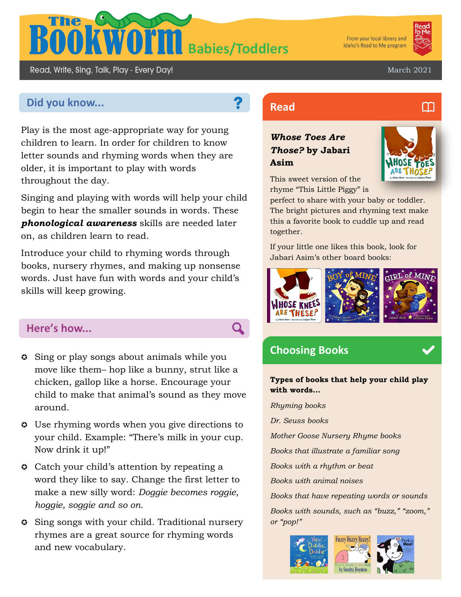

From your local library and Idaho's Read to Me program



M

March 2021

# **Did you know... Read Read**

Read, Write, Sing, Talk, Play - Every Day!

Play is the most age-appropriate way for young children to learn. In order for children to know letter sounds and rhyming words when they are older, it is important to play with words throughout the day.

Singing and playing with words will help your child begin to hear the smaller sounds in words. These *phonological awareness* skills are needed later on, as children learn to read.

Introduce your child to rhyming words through books, nursery rhymes, and making up nonsense words. Just have fun with words and your child's skills will keep growing.

#### **Here's how...**

- Sing or play songs about animals while you move like them– hop like a bunny, strut like a chicken, gallop like a horse. Encourage your child to make that animal's sound as they move around.
- Use rhyming words when you give directions to your child. Example: "There's milk in your cup. Now drink it up!"
- **Catch your child's attention by repeating a** word they like to say. Change the first letter to make a new silly word: *Doggie becomes roggie, hoggie, soggie and so on.*
- **C** Sing songs with your child. Traditional nursery rhymes are a great source for rhyming words and new vocabulary.

### *Whose Toes Are Those?* **by Jabari Asim**



This sweet version of the rhyme "This Little Piggy" is

perfect to share with your baby or toddler. The bright pictures and rhyming text make this a favorite book to cuddle up and read together.

If your little one likes this book, look for Jabari Asim's other board books:



## **Choosing Books**

 $\overline{\mathbf{Q}}$ 

**Types of books that help your child play with words...**

*Rhyming books Dr. Seuss books Mother Goose Nursery Rhyme books Books that illustrate a familiar song Books with a rhythm or beat Books with animal noises Books that have repeating words or sounds Books with sounds, such as "buzz," "zoom," or "pop!"*